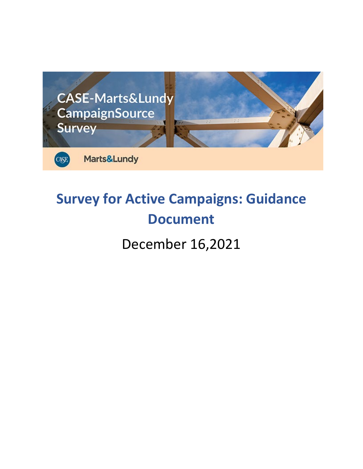

# **Survey for Active Campaigns: Guidance Document**

December 16,2021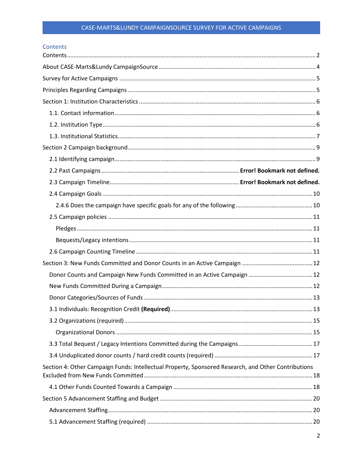<span id="page-1-0"></span>

|  | Contents |
|--|----------|
|  |          |

| Donor Counts and Campaign New Funds Committed in an Active Campaign  12                             |  |
|-----------------------------------------------------------------------------------------------------|--|
|                                                                                                     |  |
|                                                                                                     |  |
|                                                                                                     |  |
|                                                                                                     |  |
|                                                                                                     |  |
|                                                                                                     |  |
|                                                                                                     |  |
| Section 4: Other Campaign Funds: Intellectual Property, Sponsored Research, and Other Contributions |  |
|                                                                                                     |  |
|                                                                                                     |  |
|                                                                                                     |  |
|                                                                                                     |  |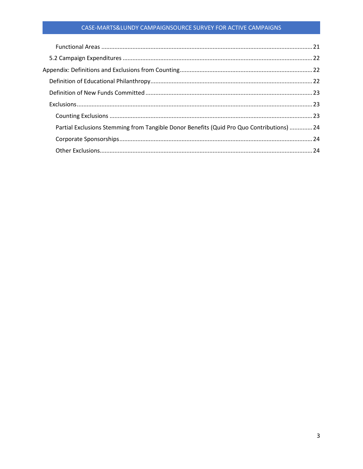| Partial Exclusions Stemming from Tangible Donor Benefits (Quid Pro Quo Contributions)  24 |  |
|-------------------------------------------------------------------------------------------|--|
|                                                                                           |  |
|                                                                                           |  |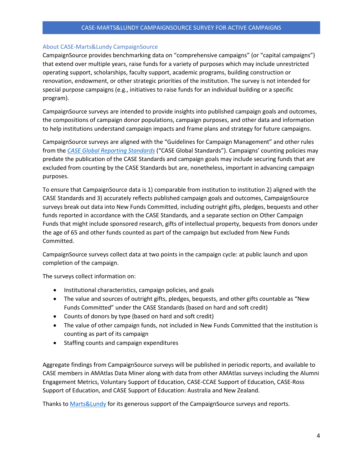### <span id="page-3-0"></span>About CASE-Marts&Lundy CampaignSource

CampaignSource provides benchmarking data on "comprehensive campaigns" (or "capital campaigns") that extend over multiple years, raise funds for a variety of purposes which may include unrestricted operating support, scholarships, faculty support, academic programs, building construction or renovation, endowment, or other strategic priorities of the institution. The survey is not intended for special purpose campaigns (e.g., initiatives to raise funds for an individual building or a specific program).

CampaignSource surveys are intended to provide insights into published campaign goals and outcomes, the compositions of campaign donor populations, campaign purposes, and other data and information to help institutions understand campaign impacts and frame plans and strategy for future campaigns.

CampaignSource surveys are aligned with the "Guidelines for Campaign Management" and other rules from the *CASE [Global Reporting Standards](https://www.case.org/resources/amatlas/case-global-reporting-standards)* ("CASE Global Standards"). Campaigns' counting policies may predate the publication of the CASE Standards and campaign goals may include securing funds that are excluded from counting by the CASE Standards but are, nonetheless, important in advancing campaign purposes.

To ensure that CampaignSource data is 1) comparable from institution to institution 2) aligned with the CASE Standards and 3) accurately reflects published campaign goals and outcomes, CampaignSource surveys break out data into New Funds Committed, including outright gifts, pledges, bequests and other funds reported in accordance with the CASE Standards*,* and a separate section on Other Campaign Funds that might include sponsored research, gifts of intellectual property, bequests from donors under the age of 65 and other funds counted as part of the campaign but excluded from New Funds Committed.

CampaignSource surveys collect data at two points in the campaign cycle: at public launch and upon completion of the campaign.

The surveys collect information on:

- Institutional characteristics, campaign policies, and goals
- The value and sources of outright gifts, pledges, bequests, and other gifts countable as "New Funds Committed" under the CASE Standards (based on hard and soft credit)
- Counts of donors by type (based on hard and soft credit)
- The value of other campaign funds, not included in New Funds Committed that the institution is counting as part of its campaign
- Staffing counts and campaign expenditures

Aggregate findings from CampaignSource surveys will be published in periodic reports, and available to CASE members in AMAtlas Data Miner along with data from other AMAtlas surveys including the Alumni Engagement Metrics, Voluntary Support of Education, CASE-CCAE Support of Education, CASE-Ross Support of Education, and CASE Support of Education: Australia and New Zealand.

Thanks to [Marts&Lundy](https://www.martsandlundy.com/) for its generous support of the CampaignSource surveys and reports.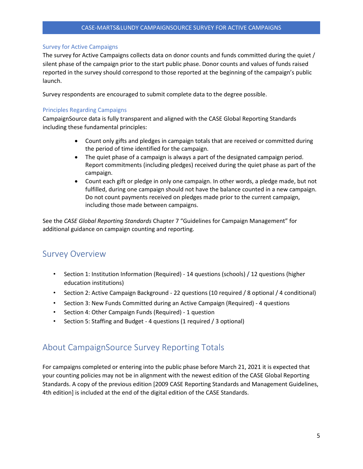#### <span id="page-4-0"></span>Survey for Active Campaigns

The survey for Active Campaigns collects data on donor counts and funds committed during the quiet / silent phase of the campaign prior to the start public phase. Donor counts and values of funds raised reported in the survey should correspond to those reported at the beginning of the campaign's public launch.

Survey respondents are encouraged to submit complete data to the degree possible.

#### <span id="page-4-1"></span>Principles Regarding Campaigns

CampaignSource data is fully transparent and aligned with the CASE Global Reporting Standards including these fundamental principles:

- Count only gifts and pledges in campaign totals that are received or committed during the period of time identified for the campaign.
- The quiet phase of a campaign is always a part of the designated campaign period. Report commitments (including pledges) received during the quiet phase as part of the campaign.
- Count each gift or pledge in only one campaign. In other words, a pledge made, but not fulfilled, during one campaign should not have the balance counted in a new campaign. Do not count payments received on pledges made prior to the current campaign, including those made between campaigns.

See the *CASE Global Reporting Standards* Chapter 7 "Guidelines for Campaign Management" for additional guidance on campaign counting and reporting.

# Survey Overview

- Section 1: Institution Information (Required) 14 questions (schools) / 12 questions (higher education institutions)
- Section 2: Active Campaign Background 22 questions (10 required / 8 optional / 4 conditional)
- Section 3: New Funds Committed during an Active Campaign (Required) 4 questions
- Section 4: Other Campaign Funds (Required) 1 question
- Section 5: Staffing and Budget 4 questions (1 required / 3 optional)

# About CampaignSource Survey Reporting Totals

For campaigns completed or entering into the public phase before March 21, 2021 it is expected that your counting policies may not be in alignment with the newest edition of the CASE Global Reporting Standards. A copy of the previous edition [2009 CASE Reporting Standards and Management Guidelines, 4th edition] is included at the end of the digital edition of the CASE Standards.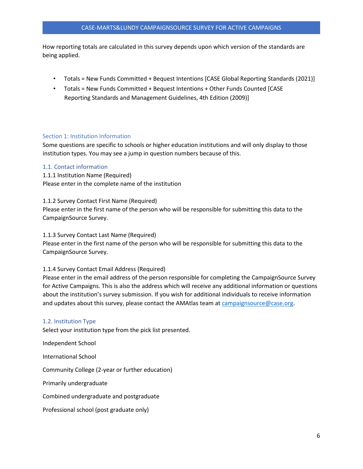How reporting totals are calculated in this survey depends upon which version of the standards are being applied.

- Totals = New Funds Committed + Bequest Intentions [CASE Global Reporting Standards (2021)]
- Totals = New Funds Committed + Bequest Intentions + Other Funds Counted [CASE Reporting Standards and Management Guidelines, 4th Edition (2009)]

#### <span id="page-5-0"></span>Section 1: Institution Information

Some questions are specific to schools or higher education institutions and will only display to those institution types. You may see a jump in question numbers because of this.

## <span id="page-5-1"></span>1.1. Contact information

1.1.1 Institution Name (Required) Please enter in the complete name of the institution

1.1.2 Survey Contact First Name (Required) Please enter in the first name of the person who will be responsible for submitting this data to the CampaignSource Survey.

#### 1.1.3 Survey Contact Last Name (Required)

Please enter in the first name of the person who will be responsible for submitting this data to the CampaignSource Survey.

#### 1.1.4 Survey Contact Email Address (Required)

Please enter in the email address of the person responsible for completing the CampaignSource Survey for Active Campaigns. This is also the address which will receive any additional information or questions about the institution's survey submission. If you wish for additional individuals to receive information and updates about this survey, please contact the AMAtlas team at [campaignsource@case.org.](mailto:campaignsource@case.org)

#### <span id="page-5-2"></span>1.2. Institution Type

Select your institution type from the pick list presented.

Independent School

International School

Community College (2-year or further education)

Primarily undergraduate

Combined undergraduate and postgraduate

Professional school (post graduate only)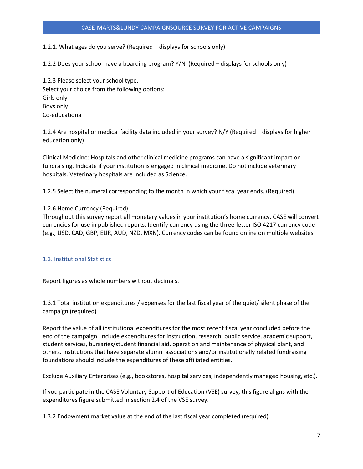1.2.1. What ages do you serve? (Required – displays for schools only)

1.2.2 Does your school have a boarding program? Y/N (Required – displays for schools only)

1.2.3 Please select your school type. Select your choice from the following options: Girls only Boys only Co-educational

1.2.4 Are hospital or medical facility data included in your survey? N/Y (Required – displays for higher education only)

Clinical Medicine: Hospitals and other clinical medicine programs can have a significant impact on fundraising. Indicate if your institution is engaged in clinical medicine. Do not include veterinary hospitals. Veterinary hospitals are included as Science.

1.2.5 Select the numeral corresponding to the month in which your fiscal year ends. (Required)

#### 1.2.6 Home Currency (Required)

Throughout this survey report all monetary values in your institution's home currency. CASE will convert currencies for use in published reports. Identify currency using the three-letter ISO 4217 currency code (e.g., USD, CAD, GBP, EUR, AUD, NZD, MXN). Currency codes can be found online on multiple websites.

#### <span id="page-6-0"></span>1.3. Institutional Statistics

Report figures as whole numbers without decimals.

1.3.1 Total institution expenditures / expenses for the last fiscal year of the quiet/ silent phase of the campaign (required)

Report the value of all institutional expenditures for the most recent fiscal year concluded before the end of the campaign. Include expenditures for instruction, research, public service, academic support, student services, bursaries/student financial aid, operation and maintenance of physical plant, and others. Institutions that have separate alumni associations and/or institutionally related fundraising foundations should include the expenditures of these affiliated entities.

Exclude Auxiliary Enterprises (e.g., bookstores, hospital services, independently managed housing, etc.).

If you participate in the CASE Voluntary Support of Education (VSE) survey, this figure aligns with the expenditures figure submitted in section 2.4 of the VSE survey.

1.3.2 Endowment market value at the end of the last fiscal year completed (required)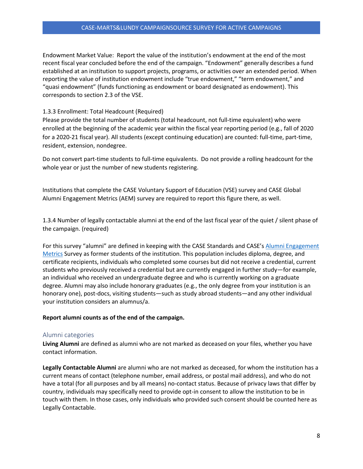Endowment Market Value: Report the value of the institution's endowment at the end of the most recent fiscal year concluded before the end of the campaign. "Endowment" generally describes a fund established at an institution to support projects, programs, or activities over an extended period. When reporting the value of institution endowment include "true endowment," "term endowment," and "quasi endowment" (funds functioning as endowment or board designated as endowment). This corresponds to section 2.3 of the VSE.

#### 1.3.3 Enrollment: Total Headcount (Required)

Please provide the total number of students (total headcount, not full-time equivalent) who were enrolled at the beginning of the academic year within the fiscal year reporting period (e.g., fall of 2020 for a 2020-21 fiscal year). All students (except continuing education) are counted: full-time, part-time, resident, extension, nondegree.

Do not convert part-time students to full-time equivalents. Do not provide a rolling headcount for the whole year or just the number of new students registering.

Institutions that complete the CASE Voluntary Support of Education (VSE) survey and CASE Global Alumni Engagement Metrics (AEM) survey are required to report this figure there, as well.

1.3.4 Number of legally contactable alumni at the end of the last fiscal year of the quiet / silent phase of the campaign. (required)

For this survey "alumni" are defined in keeping with the CASE Standards and CASE's [Alumni Engagement](https://www.case.org/resources/case-global-alumni-engagement-metrics-survey)  [Metrics](https://www.case.org/resources/case-global-alumni-engagement-metrics-survey) Survey as former students of the institution. This population includes diploma, degree, and certificate recipients, individuals who completed some courses but did not receive a credential, current students who previously received a credential but are currently engaged in further study—for example, an individual who received an undergraduate degree and who is currently working on a graduate degree. Alumni may also include honorary graduates (e.g., the only degree from your institution is an honorary one), post-docs, visiting students—such as study abroad students—and any other individual your institution considers an alumnus/a.

#### **Report alumni counts as of the end of the campaign.**

#### Alumni categories

**Living Alumni** are defined as alumni who are not marked as deceased on your files, whether you have contact information.

**Legally Contactable Alumni** are alumni who are not marked as deceased, for whom the institution has a current means of contact (telephone number, email address, or postal mail address), and who do not have a total (for all purposes and by all means) no-contact status. Because of privacy laws that differ by country, individuals may specifically need to provide opt-in consent to allow the institution to be in touch with them. In those cases, only individuals who provided such consent should be counted here as Legally Contactable.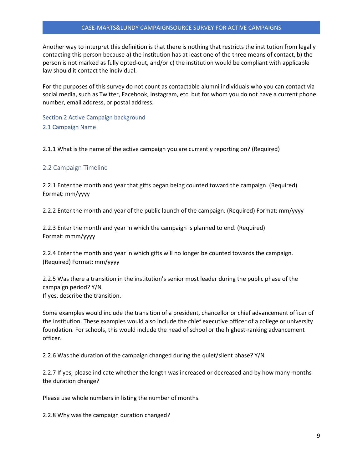Another way to interpret this definition is that there is nothing that restricts the institution from legally contacting this person because a) the institution has at least one of the three means of contact, b) the person is not marked as fully opted-out, and/or c) the institution would be compliant with applicable law should it contact the individual.

For the purposes of this survey do not count as contactable alumni individuals who you can contact via social media, such as Twitter, Facebook, Instagram, etc. but for whom you do not have a current phone number, email address, or postal address.

<span id="page-8-1"></span><span id="page-8-0"></span>Section 2 Active Campaign background 2.1 Campaign Name

2.1.1 What is the name of the active campaign you are currently reporting on? (Required)

## 2.2 Campaign Timeline

2.2.1 Enter the month and year that gifts began being counted toward the campaign. (Required) Format: mm/yyyy

2.2.2 Enter the month and year of the public launch of the campaign. (Required) Format: mm/yyyy

2.2.3 Enter the month and year in which the campaign is planned to end. (Required) Format: mmm/yyyy

2.2.4 Enter the month and year in which gifts will no longer be counted towards the campaign. (Required) Format: mm/yyyy

2.2.5 Was there a transition in the institution's senior most leader during the public phase of the campaign period? Y/N If yes, describe the transition.

Some examples would include the transition of a president, chancellor or chief advancement officer of the institution. These examples would also include the chief executive officer of a college or university foundation. For schools, this would include the head of school or the highest-ranking advancement officer.

2.2.6 Was the duration of the campaign changed during the quiet/silent phase? Y/N

2.2.7 If yes, please indicate whether the length was increased or decreased and by how many months the duration change?

Please use whole numbers in listing the number of months.

2.2.8 Why was the campaign duration changed?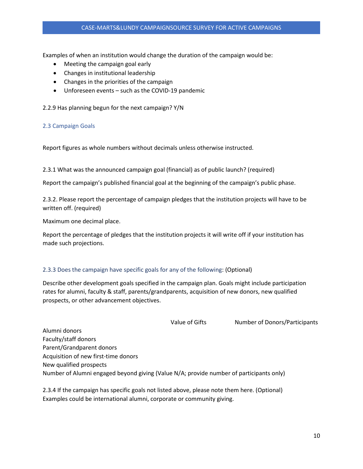Examples of when an institution would change the duration of the campaign would be:

- Meeting the campaign goal early
- Changes in institutional leadership
- Changes in the priorities of the campaign
- Unforeseen events such as the COVID-19 pandemic

2.2.9 Has planning begun for the next campaign? Y/N

#### <span id="page-9-0"></span>2.3 Campaign Goals

Report figures as whole numbers without decimals unless otherwise instructed.

2.3.1 What was the announced campaign goal (financial) as of public launch? (required)

Report the campaign's published financial goal at the beginning of the campaign's public phase.

2.3.2. Please report the percentage of campaign pledges that the institution projects will have to be written off. (required)

Maximum one decimal place.

Report the percentage of pledges that the institution projects it will write off if your institution has made such projections.

#### <span id="page-9-1"></span>2.3.3 Does the campaign have specific goals for any of the following: (Optional)

Describe other development goals specified in the campaign plan. Goals might include participation rates for alumni, faculty & staff, parents/grandparents, acquisition of new donors, new qualified prospects, or other advancement objectives.

Value of Gifts **Number of Donors/Participants** 

Alumni donors Faculty/staff donors Parent/Grandparent donors Acquisition of new first-time donors New qualified prospects Number of Alumni engaged beyond giving (Value N/A; provide number of participants only)

2.3.4 If the campaign has specific goals not listed above, please note them here. (Optional) Examples could be international alumni, corporate or community giving.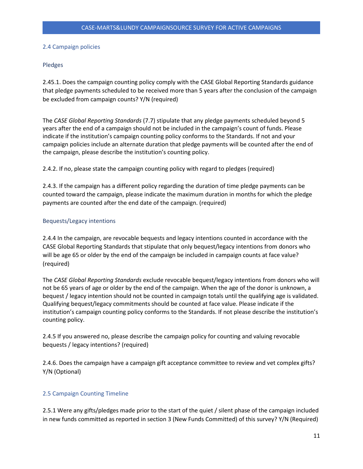#### <span id="page-10-0"></span>2.4 Campaign policies

#### <span id="page-10-1"></span>Pledges

2.45.1. Does the campaign counting policy comply with the CASE Global Reporting Standards guidance that pledge payments scheduled to be received more than 5 years after the conclusion of the campaign be excluded from campaign counts? Y/N (required)

The *CASE Global Reporting Standards* (7.7) stipulate that any pledge payments scheduled beyond 5 years after the end of a campaign should not be included in the campaign's count of funds. Please indicate if the institution's campaign counting policy conforms to the Standards. If not and your campaign policies include an alternate duration that pledge payments will be counted after the end of the campaign, please describe the institution's counting policy.

2.4.2. If no, please state the campaign counting policy with regard to pledges (required)

2.4.3. If the campaign has a different policy regarding the duration of time pledge payments can be counted toward the campaign, please indicate the maximum duration in months for which the pledge payments are counted after the end date of the campaign. (required)

#### <span id="page-10-2"></span>Bequests/Legacy intentions

2.4.4 In the campaign, are revocable bequests and legacy intentions counted in accordance with the CASE Global Reporting Standards that stipulate that only bequest/legacy intentions from donors who will be age 65 or older by the end of the campaign be included in campaign counts at face value? (required)

The *CASE Global Reporting Standards* exclude revocable bequest/legacy intentions from donors who will not be 65 years of age or older by the end of the campaign. When the age of the donor is unknown, a bequest / legacy intention should not be counted in campaign totals until the qualifying age is validated. Qualifying bequest/legacy commitments should be counted at face value. Please indicate if the institution's campaign counting policy conforms to the Standards. If not please describe the institution's counting policy.

2.4.5 If you answered no, please describe the campaign policy for counting and valuing revocable bequests / legacy intentions? (required)

<span id="page-10-3"></span>2.4.6. Does the campaign have a campaign gift acceptance committee to review and vet complex gifts? Y/N (Optional)

#### 2.5 Campaign Counting Timeline

2.5.1 Were any gifts/pledges made prior to the start of the quiet / silent phase of the campaign included in new funds committed as reported in section 3 (New Funds Committed) of this survey? Y/N (Required)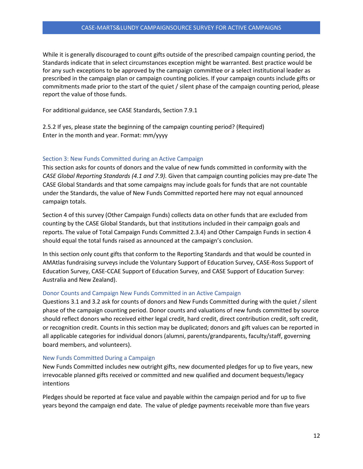While it is generally discouraged to count gifts outside of the prescribed campaign counting period, the Standards indicate that in select circumstances exception might be warranted. Best practice would be for any such exceptions to be approved by the campaign committee or a select institutional leader as prescribed in the campaign plan or campaign counting policies. If your campaign counts include gifts or commitments made prior to the start of the quiet / silent phase of the campaign counting period, please report the value of those funds.

For additional guidance, see CASE Standards, Section 7.9.1

2.5.2 If yes, please state the beginning of the campaign counting period? (Required) Enter in the month and year. Format: mm/yyyy

#### <span id="page-11-0"></span>Section 3: New Funds Committed during an Active Campaign

This section asks for counts of donors and the value of new funds committed in conformity with the *CASE Global Reporting Standards (4.1 and 7.9).* Given that campaign counting policies may pre-date The CASE Global Standards and that some campaigns may include goals for funds that are not countable under the Standards, the value of New Funds Committed reported here may not equal announced campaign totals.

Section 4 of this survey (Other Campaign Funds) collects data on other funds that are excluded from counting by the CASE Global Standards, but that institutions included in their campaign goals and reports. The value of Total Campaign Funds Committed 2.3.4) and Other Campaign Funds in section 4 should equal the total funds raised as announced at the campaign's conclusion.

In this section only count gifts that conform to the Reporting Standards and that would be counted in AMAtlas fundraising surveys include the Voluntary Support of Education Survey, CASE-Ross Support of Education Survey, CASE-CCAE Support of Education Survey, and CASE Support of Education Survey: Australia and New Zealand).

#### <span id="page-11-1"></span>Donor Counts and Campaign New Funds Committed in an Active Campaign

Questions 3.1 and 3.2 ask for counts of donors and New Funds Committed during with the quiet / silent phase of the campaign counting period. Donor counts and valuations of new funds committed by source should reflect donors who received either legal credit, hard credit, direct contribution credit, soft credit, or recognition credit. Counts in this section may be duplicated; donors and gift values can be reported in all applicable categories for individual donors (alumni, parents/grandparents, faculty/staff, governing board members, and volunteers).

#### <span id="page-11-2"></span>New Funds Committed During a Campaign

New Funds Committed includes new outright gifts, new documented pledges for up to five years, new irrevocable planned gifts received or committed and new qualified and document bequests/legacy intentions

Pledges should be reported at face value and payable within the campaign period and for up to five years beyond the campaign end date. The value of pledge payments receivable more than five years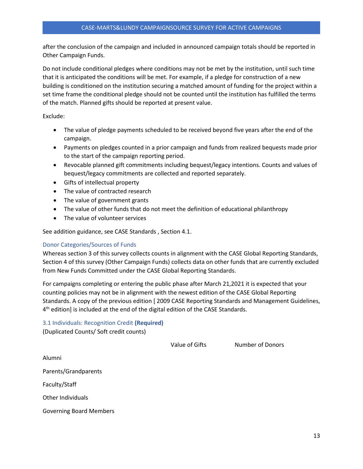after the conclusion of the campaign and included in announced campaign totals should be reported in Other Campaign Funds.

Do not include conditional pledges where conditions may not be met by the institution, until such time that it is anticipated the conditions will be met. For example, if a pledge for construction of a new building is conditioned on the institution securing a matched amount of funding for the project within a set time frame the conditional pledge should not be counted until the institution has fulfilled the terms of the match. Planned gifts should be reported at present value.

Exclude:

- The value of pledge payments scheduled to be received beyond five years after the end of the campaign.
- Payments on pledges counted in a prior campaign and funds from realized bequests made prior to the start of the campaign reporting period.
- Revocable planned gift commitments including bequest/legacy intentions. Counts and values of bequest/legacy commitments are collected and reported separately.
- Gifts of intellectual property
- The value of contracted research
- The value of government grants
- The value of other funds that do not meet the definition of educational philanthropy
- The value of volunteer services

See addition guidance, see CASE Standards , Section 4.1.

#### <span id="page-12-0"></span>Donor Categories/Sources of Funds

Whereas section 3 of this survey collects counts in alignment with the CASE Global Reporting Standards, Section 4 of this survey (Other Campaign Funds) collects data on other funds that are currently excluded from New Funds Committed under the CASE Global Reporting Standards.

For campaigns completing or entering the public phase after March 21,2021 it is expected that your counting policies may not be in alignment with the newest edition of the CASE Global Reporting Standards. A copy of the previous edition [ 2009 CASE Reporting Standards and Management Guidelines,  $4<sup>th</sup>$  edition] is included at the end of the digital edition of the CASE Standards.

#### <span id="page-12-1"></span>3.1 Individuals: Recognition Credit **(Required)**

(Duplicated Counts/ Soft credit counts)

Value of Gifts Number of Donors

Alumni

Parents/Grandparents

Faculty/Staff

Other Individuals

Governing Board Members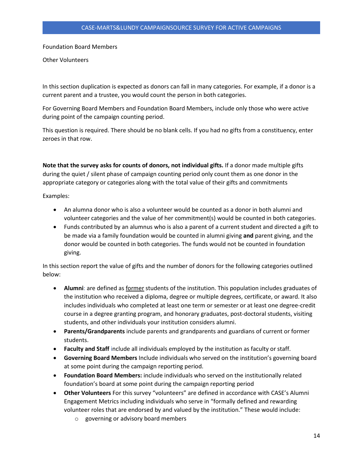Foundation Board Members

Other Volunteers

In this section duplication is expected as donors can fall in many categories. For example, if a donor is a current parent and a trustee, you would count the person in both categories.

For Governing Board Members and Foundation Board Members, include only those who were active during point of the campaign counting period.

This question is required. There should be no blank cells. If you had no gifts from a constituency, enter zeroes in that row.

**Note that the survey asks for counts of donors, not individual gifts.** If a donor made multiple gifts during the quiet / silent phase of campaign counting period only count them as one donor in the appropriate category or categories along with the total value of their gifts and commitments

Examples:

- An alumna donor who is also a volunteer would be counted as a donor in both alumni and volunteer categories and the value of her commitment(s) would be counted in both categories.
- Funds contributed by an alumnus who is also a parent of a current student and directed a gift to be made via a family foundation would be counted in alumni giving **and** parent giving, and the donor would be counted in both categories. The funds would not be counted in foundation giving.

In this section report the value of gifts and the number of donors for the following categories outlined below:

- **Alumni**: are defined as former students of the institution. This population includes graduates of the institution who received a diploma, degree or multiple degrees, certificate, or award. It also includes individuals who completed at least one term or semester or at least one degree-credit course in a degree granting program, and honorary graduates, post-doctoral students, visiting students, and other individuals your institution considers alumni.
- **Parents/Grandparents** include parents and grandparents and guardians of current or former students.
- **Faculty and Staff** include all individuals employed by the institution as faculty or staff.
- **Governing Board Members** Include individuals who served on the institution's governing board at some point during the campaign reporting period.
- **Foundation Board Members:** include individuals who served on the institutionally related foundation's board at some point during the campaign reporting period
- **Other Volunteers** For this survey "volunteers" are defined in accordance with CASE's Alumni Engagement Metrics including individuals who serve in "formally defined and rewarding volunteer roles that are endorsed by and valued by the institution." These would include:
	- o governing or advisory board members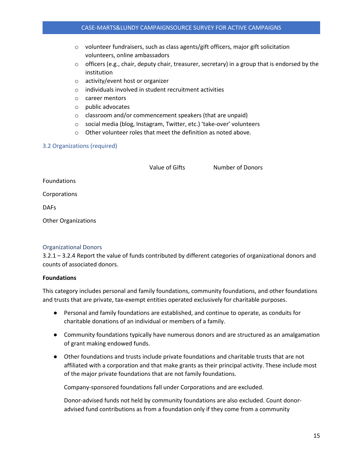- o volunteer fundraisers, such as class agents/gift officers, major gift solicitation volunteers, online ambassadors
- $\circ$  officers (e.g., chair, deputy chair, treasurer, secretary) in a group that is endorsed by the institution
- o activity/event host or organizer
- o individuals involved in student recruitment activities
- o career mentors
- o public advocates
- o classroom and/or commencement speakers (that are unpaid)
- o social media (blog, Instagram, Twitter, etc.) 'take-over' volunteers
- o Other volunteer roles that meet the definition as noted above.

#### <span id="page-14-0"></span>3.2 Organizations (required)

Value of Gifts Number of Donors

Foundations

Corporations

DAFs

Other Organizations

#### <span id="page-14-1"></span>Organizational Donors

3.2.1 – 3.2.4 Report the value of funds contributed by different categories of organizational donors and counts of associated donors.

#### **Foundations**

This category includes personal and family foundations, community foundations, and other foundations and trusts that are private, tax-exempt entities operated exclusively for charitable purposes.

- Personal and family foundations are established, and continue to operate, as conduits for charitable donations of an individual or members of a family.
- Community foundations typically have numerous donors and are structured as an amalgamation of grant making endowed funds.
- Other foundations and trusts include private foundations and charitable trusts that are not affiliated with a corporation and that make grants as their principal activity. These include most of the major private foundations that are not family foundations.

Company-sponsored foundations fall under Corporations and are excluded.

Donor-advised funds not held by community foundations are also excluded. Count donoradvised fund contributions as from a foundation only if they come from a community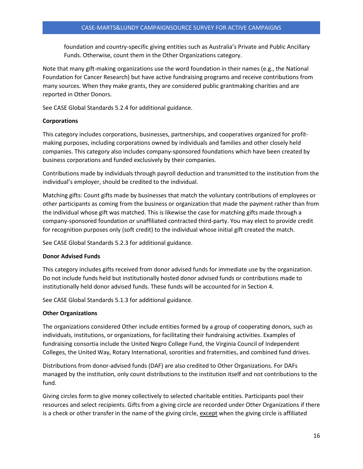foundation and country-specific giving entities such as Australia's Private and Public Ancillary Funds. Otherwise, count them in the Other Organizations category.

Note that many gift-making organizations use the word foundation in their names (e.g., the National Foundation for Cancer Research) but have active fundraising programs and receive contributions from many sources. When they make grants, they are considered public grantmaking charities and are reported in Other Donors.

See CASE Global Standards 5.2.4 for additional guidance.

## **Corporations**

This category includes corporations, businesses, partnerships, and cooperatives organized for profitmaking purposes, including corporations owned by individuals and families and other closely held companies. This category also includes company-sponsored foundations which have been created by business corporations and funded exclusively by their companies.

Contributions made by individuals through payroll deduction and transmitted to the institution from the individual's employer, should be credited to the individual.

Matching gifts: Count gifts made by businesses that match the voluntary contributions of employees or other participants as coming from the business or organization that made the payment rather than from the individual whose gift was matched. This is likewise the case for matching gifts made through a company-sponsored foundation or unaffiliated contracted third-party. You may elect to provide credit for recognition purposes only (soft credit) to the individual whose initial gift created the match.

See CASE Global Standards 5.2.3 for additional guidance.

#### **Donor Advised Funds**

This category includes gifts received from donor advised funds for immediate use by the organization. Do not include funds held but institutionally hosted donor advised funds or contributions made to institutionally held donor advised funds. These funds will be accounted for in Section 4.

See CASE Global Standards 5.1.3 for additional guidance.

# **Other Organizations**

The organizations considered Other include entities formed by a group of cooperating donors, such as individuals, institutions, or organizations, for facilitating their fundraising activities. Examples of fundraising consortia include the United Negro College Fund, the Virginia Council of Independent Colleges, the United Way, Rotary International, sororities and fraternities, and combined fund drives.

Distributions from donor-advised funds (DAF) are also credited to Other Organizations. For DAFs managed by the institution, only count distributions to the institution itself and not contributions to the fund.

Giving circles form to give money collectively to selected charitable entities. Participants pool their resources and select recipients. Gifts from a giving circle are recorded under Other Organizations if there is a check or other transfer in the name of the giving circle, except when the giving circle is affiliated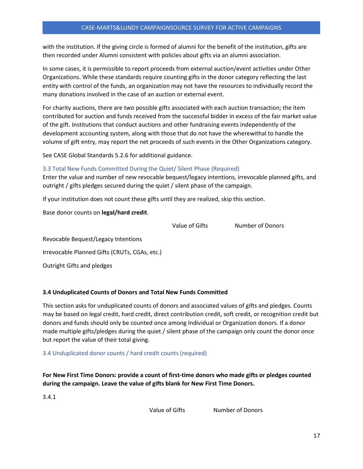with the institution. If the giving circle is formed of alumni for the benefit of the institution, gifts are then recorded under Alumni consistent with policies about gifts via an alumni association.

In some cases, it is permissible to report proceeds from external auction/event activities under Other Organizations. While these standards require counting gifts in the donor category reflecting the last entity with control of the funds, an organization may not have the resources to individually record the many donations involved in the case of an auction or external event.

For charity auctions, there are two possible gifts associated with each auction transaction; the item contributed for auction and funds received from the successful bidder in excess of the fair market value of the gift. Institutions that conduct auctions and other fundraising events independently of the development accounting system, along with those that do not have the wherewithal to handle the volume of gift entry, may report the net proceeds of such events in the Other Organizations category.

See CASE Global Standards 5.2.6 for additional guidance.

## <span id="page-16-0"></span>3.3 Total New Funds Committed During the Quiet/ Silent Phase (Required)

Enter the value and number of new revocable bequest/legacy intentions, irrevocable planned gifts, and outright / gifts pledges secured during the quiet / silent phase of the campaign.

If your institution does not count these gifts until they are realized, skip this section.

Base donor counts on **legal/hard credit**.

Value of Gifts Number of Donors

Revocable Bequest/Legacy Intentions

Irrevocable Planned Gifts (CRUTs, CGAs, etc.)

Outright Gifts and pledges

# **3.4 Unduplicated Counts of Donors and Total New Funds Committed**

This section asks for unduplicated counts of donors and associated values of gifts and pledges. Counts may be based on legal credit, hard credit, direct contribution credit, soft credit, or recognition credit but donors and funds should only be counted once among Individual or Organization donors. If a donor made multiple gifts/pledges during the quiet / silent phase of the campaign only count the donor once but report the value of their total giving.

#### <span id="page-16-1"></span>3.4 Unduplicated donor counts / hard credit counts (required)

**For New First Time Donors: provide a count of first-time donors who made gifts or pledges counted during the campaign. Leave the value of gifts blank for New First Time Donors.**

3.4.1

Value of Gifts Number of Donors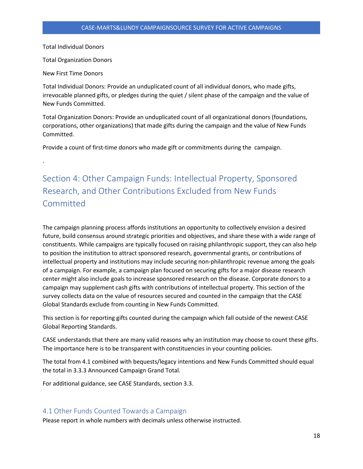Total Individual Donors

Total Organization Donors

New First Time Donors

.

Total Individual Donors: Provide an unduplicated count of all individual donors, who made gifts, irrevocable planned gifts, or pledges during the quiet / silent phase of the campaign and the value of New Funds Committed.

Total Organization Donors: Provide an unduplicated count of all organizational donors (foundations, corporations, other organizations) that made gifts during the campaign and the value of New Funds Committed.

Provide a count of first-time donors who made gift or commitments during the campaign.

# <span id="page-17-0"></span>Section 4: Other Campaign Funds: Intellectual Property, Sponsored Research, and Other Contributions Excluded from New Funds **Committed**

The campaign planning process affords institutions an opportunity to collectively envision a desired future, build consensus around strategic priorities and objectives, and share these with a wide range of constituents. While campaigns are typically focused on raising philanthropic support, they can also help to position the institution to attract sponsored research, governmental grants, or contributions of intellectual property and institutions may include securing non-philanthropic revenue among the goals of a campaign. For example, a campaign plan focused on securing gifts for a major disease research center might also include goals to increase sponsored research on the disease. Corporate donors to a campaign may supplement cash gifts with contributions of intellectual property. This section of the survey collects data on the value of resources secured and counted in the campaign that the CASE Global Standards exclude from counting in New Funds Committed.

This section is for reporting gifts counted during the campaign which fall outside of the newest CASE Global Reporting Standards.

CASE understands that there are many valid reasons why an institution may choose to count these gifts. The importance here is to be transparent with constituencies in your counting policies.

The total from 4.1 combined with bequests/legacy intentions and New Funds Committed should equal the total in 3.3.3 Announced Campaign Grand Total.

For additional guidance, see CASE Standards, section 3.3.

# <span id="page-17-1"></span>4.1 Other Funds Counted Towards a Campaign

Please report in whole numbers with decimals unless otherwise instructed.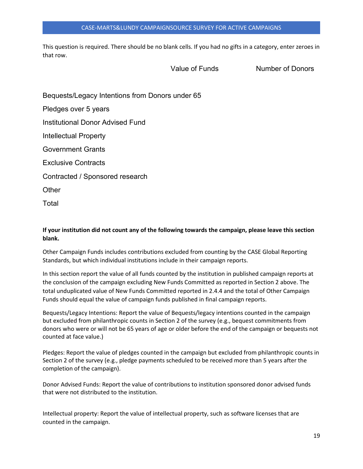This question is required. There should be no blank cells. If you had no gifts in a category, enter zeroes in that row.

Value of Funds Number of Donors

Bequests/Legacy Intentions from Donors under 65

Pledges over 5 years

Institutional Donor Advised Fund

Intellectual Property

Government Grants

Exclusive Contracts

Contracted / Sponsored research

**Other** 

Total

## **If your institution did not count any of the following towards the campaign, please leave this section blank.**

Other Campaign Funds includes contributions excluded from counting by the CASE Global Reporting Standards, but which individual institutions include in their campaign reports.

In this section report the value of all funds counted by the institution in published campaign reports at the conclusion of the campaign excluding New Funds Committed as reported in Section 2 above. The total unduplicated value of New Funds Committed reported in 2.4.4 and the total of Other Campaign Funds should equal the value of campaign funds published in final campaign reports.

Bequests/Legacy Intentions: Report the value of Bequests/legacy intentions counted in the campaign but excluded from philanthropic counts in Section 2 of the survey (e.g., bequest commitments from donors who were or will not be 65 years of age or older before the end of the campaign or bequests not counted at face value.)

Pledges: Report the value of pledges counted in the campaign but excluded from philanthropic counts in Section 2 of the survey (e.g., pledge payments scheduled to be received more than 5 years after the completion of the campaign).

Donor Advised Funds: Report the value of contributions to institution sponsored donor advised funds that were not distributed to the institution.

Intellectual property: Report the value of intellectual property, such as software licenses that are counted in the campaign.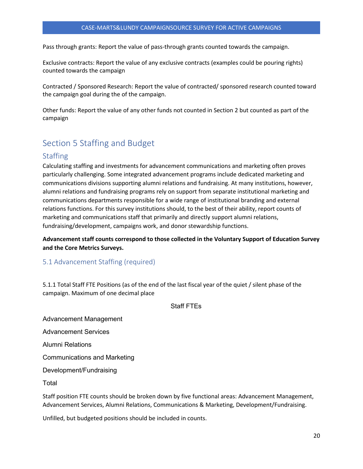Pass through grants: Report the value of pass-through grants counted towards the campaign.

Exclusive contracts: Report the value of any exclusive contracts (examples could be pouring rights) counted towards the campaign

Contracted / Sponsored Research: Report the value of contracted/ sponsored research counted toward the campaign goal during the of the campaign.

Other funds: Report the value of any other funds not counted in Section 2 but counted as part of the campaign

# <span id="page-19-0"></span>Section 5 Staffing and Budget

# <span id="page-19-1"></span>**Staffing**

Calculating staffing and investments for advancement communications and marketing often proves particularly challenging. Some integrated advancement programs include dedicated marketing and communications divisions supporting alumni relations and fundraising. At many institutions, however, alumni relations and fundraising programs rely on support from separate institutional marketing and communications departments responsible for a wide range of institutional branding and external relations functions. For this survey institutions should, to the best of their ability, report counts of marketing and communications staff that primarily and directly support alumni relations, fundraising/development, campaigns work, and donor stewardship functions.

**Advancement staff counts correspond to those collected in the Voluntary Support of Education Survey and the Core Metrics Surveys.** 

# <span id="page-19-2"></span>5.1 Advancement Staffing (required)

5.1.1 Total Staff FTE Positions (as of the end of the last fiscal year of the quiet / silent phase of the campaign. Maximum of one decimal place

Staff FTEs

Advancement Management

Advancement Services

Alumni Relations

Communications and Marketing

Development/Fundraising

Total

Staff position FTE counts should be broken down by five functional areas: Advancement Management, Advancement Services, Alumni Relations, Communications & Marketing, Development/Fundraising.

Unfilled, but budgeted positions should be included in counts.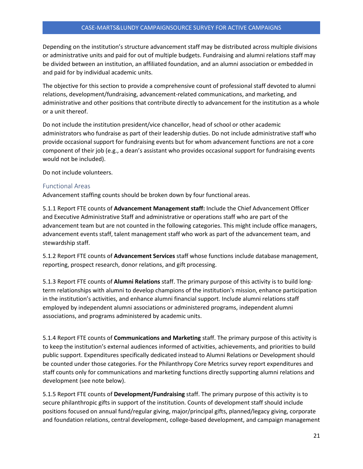Depending on the institution's structure advancement staff may be distributed across multiple divisions or administrative units and paid for out of multiple budgets. Fundraising and alumni relations staff may be divided between an institution, an affiliated foundation, and an alumni association or embedded in and paid for by individual academic units.

The objective for this section to provide a comprehensive count of professional staff devoted to alumni relations, development/fundraising, advancement-related communications, and marketing, and administrative and other positions that contribute directly to advancement for the institution as a whole or a unit thereof.

Do not include the institution president/vice chancellor, head of school or other academic administrators who fundraise as part of their leadership duties. Do not include administrative staff who provide occasional support for fundraising events but for whom advancement functions are not a core component of their job (e.g., a dean's assistant who provides occasional support for fundraising events would not be included).

Do not include volunteers.

#### <span id="page-20-0"></span>Functional Areas

Advancement staffing counts should be broken down by four functional areas.

5.1.1 Report FTE counts of **Advancement Management staff:** Include the Chief Advancement Officer and Executive Administrative Staff and administrative or operations staff who are part of the advancement team but are not counted in the following categories. This might include office managers, advancement events staff, talent management staff who work as part of the advancement team, and stewardship staff.

5.1.2 Report FTE counts of **Advancement Services** staff whose functions include database management, reporting, prospect research, donor relations, and gift processing.

5.1.3 Report FTE counts of **Alumni Relations** staff. The primary purpose of this activity is to build longterm relationships with alumni to develop champions of the institution's mission, enhance participation in the institution's activities, and enhance alumni financial support. Include alumni relations staff employed by independent alumni associations or administered programs, independent alumni associations, and programs administered by academic units.

5.1.4 Report FTE counts of **Communications and Marketing** staff. The primary purpose of this activity is to keep the institution's external audiences informed of activities, achievements, and priorities to build public support. Expenditures specifically dedicated instead to Alumni Relations or Development should be counted under those categories. For the Philanthropy Core Metrics survey report expenditures and staff counts only for communications and marketing functions directly supporting alumni relations and development (see note below).

5.1.5 Report FTE counts of **Development/Fundraising** staff. The primary purpose of this activity is to secure philanthropic gifts in support of the institution. Counts of development staff should include positions focused on annual fund/regular giving, major/principal gifts, planned/legacy giving, corporate and foundation relations, central development, college-based development, and campaign management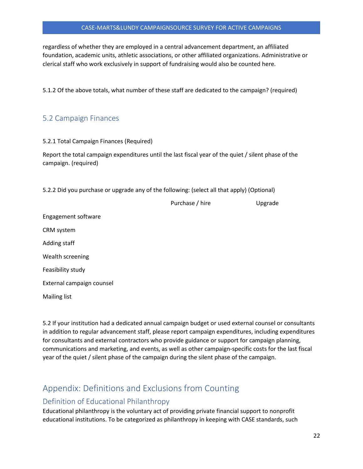regardless of whether they are employed in a central advancement department, an affiliated foundation, academic units, athletic associations, or other affiliated organizations. Administrative or clerical staff who work exclusively in support of fundraising would also be counted here.

5.1.2 Of the above totals, what number of these staff are dedicated to the campaign? (required)

# <span id="page-21-0"></span>5.2 Campaign Finances

#### 5.2.1 Total Campaign Finances (Required)

Report the total campaign expenditures until the last fiscal year of the quiet / silent phase of the campaign. (required)

5.2.2 Did you purchase or upgrade any of the following: (select all that apply) (Optional)

Purchase / hire Upgrade Engagement software CRM system Adding staff Wealth screening Feasibility study External campaign counsel Mailing list

5.2 If your institution had a dedicated annual campaign budget or used external counsel or consultants in addition to regular advancement staff, please report campaign expenditures, including expenditures for consultants and external contractors who provide guidance or support for campaign planning, communications and marketing, and events, as well as other campaign-specific costs for the last fiscal year of the quiet / silent phase of the campaign during the silent phase of the campaign.

# <span id="page-21-1"></span>Appendix: Definitions and Exclusions from Counting

# <span id="page-21-2"></span>Definition of Educational Philanthropy

Educational philanthropy is the voluntary act of providing private financial support to nonprofit educational institutions. To be categorized as philanthropy in keeping with CASE standards, such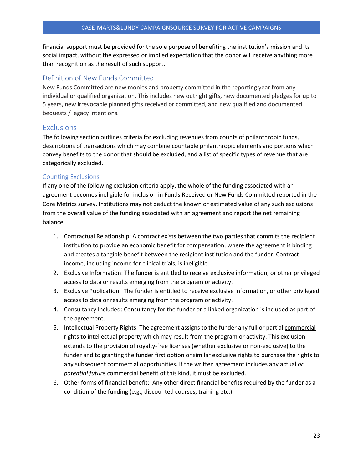financial support must be provided for the sole purpose of benefiting the institution's mission and its social impact, without the expressed or implied expectation that the donor will receive anything more than recognition as the result of such support.

### <span id="page-22-0"></span>Definition of New Funds Committed

New Funds Committed are new monies and property committed in the reporting year from any individual or qualified organization. This includes new outright gifts, new documented pledges for up to 5 years, new irrevocable planned gifts received or committed, and new qualified and documented bequests / legacy intentions.

# <span id="page-22-1"></span>**Exclusions**

The following section outlines criteria for excluding revenues from counts of philanthropic funds, descriptions of transactions which may combine countable philanthropic elements and portions which convey benefits to the donor that should be excluded, and a list of specific types of revenue that are categorically excluded.

#### <span id="page-22-2"></span>Counting Exclusions

If any one of the following exclusion criteria apply, the whole of the funding associated with an agreement becomes ineligible for inclusion in Funds Received or New Funds Committed reported in the Core Metrics survey. Institutions may not deduct the known or estimated value of any such exclusions from the overall value of the funding associated with an agreement and report the net remaining balance.

- 1. Contractual Relationship: A contract exists between the two parties that commits the recipient institution to provide an economic benefit for compensation, where the agreement is binding and creates a tangible benefit between the recipient institution and the funder. Contract income, including income for clinical trials, is ineligible.
- 2. Exclusive Information: The funder is entitled to receive exclusive information, or other privileged access to data or results emerging from the program or activity.
- 3. Exclusive Publication: The funder is entitled to receive exclusive information, or other privileged access to data or results emerging from the program or activity.
- 4. Consultancy Included: Consultancy for the funder or a linked organization is included as part of the agreement.
- 5. Intellectual Property Rights: The agreement assigns to the funder any full or partial commercial rights to intellectual property which may result from the program or activity. This exclusion extends to the provision of royalty-free licenses (whether exclusive or non-exclusive) to the funder and to granting the funder first option or similar exclusive rights to purchase the rights to any subsequent commercial opportunities. If the written agreement includes any actual *or potential future* commercial benefit of this kind, it must be excluded.
- 6. Other forms of financial benefit: Any other direct financial benefits required by the funder as a condition of the funding (e.g., discounted courses, training etc.).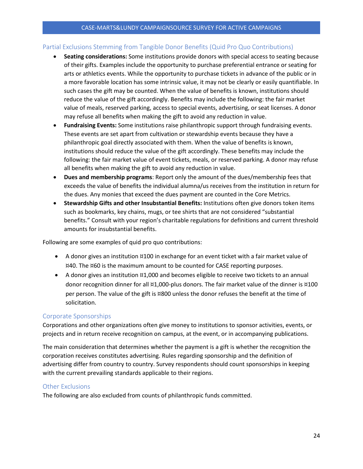## <span id="page-23-0"></span>Partial Exclusions Stemming from Tangible Donor Benefits (Quid Pro Quo Contributions)

- **Seating considerations:** Some institutions provide donors with special access to seating because of their gifts. Examples include the opportunity to purchase preferential entrance or seating for arts or athletics events. While the opportunity to purchase tickets in advance of the public or in a more favorable location has some intrinsic value, it may not be clearly or easily quantifiable. In such cases the gift may be counted. When the value of benefits is known, institutions should reduce the value of the gift accordingly. Benefits may include the following: the fair market value of meals, reserved parking, access to special events, advertising, or seat licenses. A donor may refuse all benefits when making the gift to avoid any reduction in value.
- **Fundraising Events:** Some institutions raise philanthropic support through fundraising events. These events are set apart from cultivation or stewardship events because they have a philanthropic goal directly associated with them. When the value of benefits is known, institutions should reduce the value of the gift accordingly. These benefits may include the following: the fair market value of event tickets, meals, or reserved parking. A donor may refuse all benefits when making the gift to avoid any reduction in value.
- **Dues and membership programs**: Report only the amount of the dues/membership fees that exceeds the value of benefits the individual alumna/us receives from the institution in return for the dues. Any monies that exceed the dues payment are counted in the Core Metrics.
- **Stewardship Gifts and other Insubstantial Benefits:** Institutions often give donors token items such as bookmarks, key chains, mugs, or tee shirts that are not considered "substantial benefits." Consult with your region's charitable regulations for definitions and current threshold amounts for insubstantial benefits.

Following are some examples of quid pro quo contributions:

- A donor gives an institution ¤100 in exchange for an event ticket with a fair market value of ¤40. The ¤60 is the maximum amount to be counted for CASE reporting purposes.
- A donor gives an institution ¤1,000 and becomes eligible to receive two tickets to an annual donor recognition dinner for all ¤1,000-plus donors. The fair market value of the dinner is ¤100 per person. The value of the gift is ¤800 unless the donor refuses the benefit at the time of solicitation.

# <span id="page-23-1"></span>Corporate Sponsorships

Corporations and other organizations often give money to institutions to sponsor activities, events, or projects and in return receive recognition on campus, at the event, or in accompanying publications.

The main consideration that determines whether the payment is a gift is whether the recognition the corporation receives constitutes advertising. Rules regarding sponsorship and the definition of advertising differ from country to country. Survey respondents should count sponsorships in keeping with the current prevailing standards applicable to their regions.

#### <span id="page-23-2"></span>Other Exclusions

The following are also excluded from counts of philanthropic funds committed.